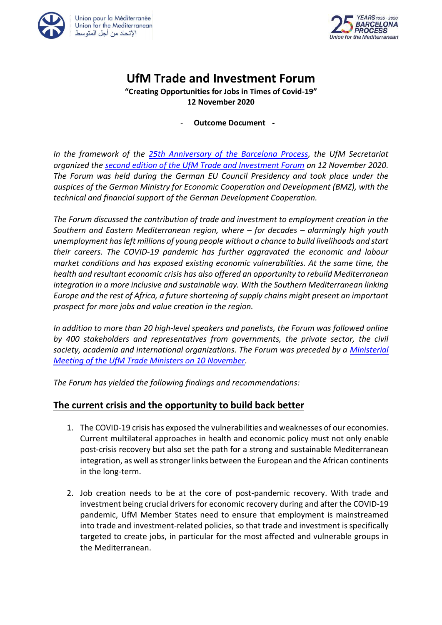



# **UfM Trade and Investment Forum**

#### **"Creating Opportunities for Jobs in Times of Covid-19" 12 November 2020**

#### - **Outcome Document -**

*In the framework of the [25th Anniversary of the Barcelona Process,](https://ufmsecretariat.org/25bcnprocess/) the UfM Secretariat organized the [second edition of the UfM Trade and Investment Forum](http://www.ufm4trade.org/) on 12 November 2020. The Forum was held during the German EU Council Presidency and took place under the auspices of the German Ministry for Economic Cooperation and Development (BMZ), with the technical and financial support of the German Development Cooperation.*

*The Forum discussed the contribution of trade and investment to employment creation in the Southern and Eastern Mediterranean region, where – for decades – alarmingly high youth unemployment has left millions of young people without a chance to build livelihoods and start their careers. The COVID-19 pandemic has further aggravated the economic and labour market conditions and has exposed existing economic vulnerabilities. At the same time, the health and resultant economic crisis has also offered an opportunity to rebuild Mediterranean integration in a more inclusive and sustainable way. With the Southern Mediterranean linking Europe and the rest of Africa, a future shortening of supply chains might present an important prospect for more jobs and value creation in the region.*

*In addition to more than 20 high-level speakers and panelists, the Forum was followed online by 400 stakeholders and representatives from governments, the private sector, the civil society, academia and international organizations. The Forum was preceded by a [Ministerial](https://ufmsecretariat.org/wp-content/uploads/2020/11/UFM-Trade-FINAL-Joint-Statement.pdf)  [Meeting of the UfM Trade Ministers on 10 November.](https://ufmsecretariat.org/wp-content/uploads/2020/11/UFM-Trade-FINAL-Joint-Statement.pdf)*

*The Forum has yielded the following findings and recommendations:*

### **The current crisis and the opportunity to build back better**

- 1. The COVID-19 crisis has exposed the vulnerabilities and weaknesses of our economies. Current multilateral approaches in health and economic policy must not only enable post-crisis recovery but also set the path for a strong and sustainable Mediterranean integration, as well as stronger links between the European and the African continents in the long-term.
- 2. Job creation needs to be at the core of post-pandemic recovery. With trade and investment being crucial drivers for economic recovery during and after the COVID-19 pandemic, UfM Member States need to ensure that employment is mainstreamed into trade and investment-related policies, so that trade and investment is specifically targeted to create jobs, in particular for the most affected and vulnerable groups in the Mediterranean.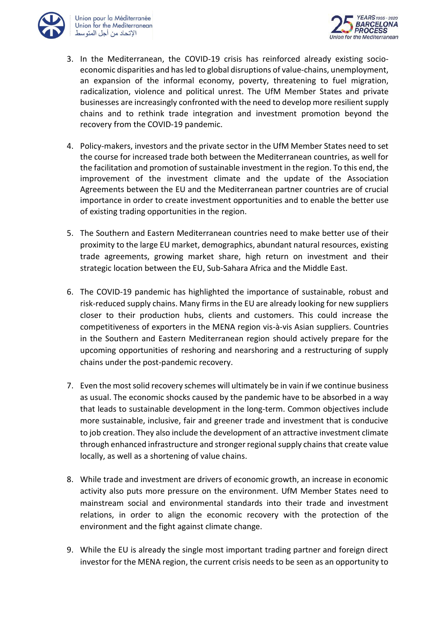



- 3. In the Mediterranean, the COVID-19 crisis has reinforced already existing socioeconomic disparities and has led to global disruptions of value-chains, unemployment, an expansion of the informal economy, poverty, threatening to fuel migration, radicalization, violence and political unrest. The UfM Member States and private businesses are increasingly confronted with the need to develop more resilient supply chains and to rethink trade integration and investment promotion beyond the recovery from the COVID-19 pandemic.
- 4. Policy-makers, investors and the private sector in the UfM Member States need to set the course for increased trade both between the Mediterranean countries, as well for the facilitation and promotion of sustainable investment in the region. To this end, the improvement of the investment climate and the update of the Association Agreements between the EU and the Mediterranean partner countries are of crucial importance in order to create investment opportunities and to enable the better use of existing trading opportunities in the region.
- 5. The Southern and Eastern Mediterranean countries need to make better use of their proximity to the large EU market, demographics, abundant natural resources, existing trade agreements, growing market share, high return on investment and their strategic location between the EU, Sub-Sahara Africa and the Middle East.
- 6. The COVID-19 pandemic has highlighted the importance of sustainable, robust and risk-reduced supply chains. Many firms in the EU are already looking for new suppliers closer to their production hubs, clients and customers. This could increase the competitiveness of exporters in the MENA region vis-à-vis Asian suppliers. Countries in the Southern and Eastern Mediterranean region should actively prepare for the upcoming opportunities of reshoring and nearshoring and a restructuring of supply chains under the post-pandemic recovery.
- 7. Even the most solid recovery schemes will ultimately be in vain if we continue business as usual. The economic shocks caused by the pandemic have to be absorbed in a way that leads to sustainable development in the long-term. Common objectives include more sustainable, inclusive, fair and greener trade and investment that is conducive to job creation. They also include the development of an attractive investment climate through enhanced infrastructure and stronger regional supply chains that create value locally, as well as a shortening of value chains.
- 8. While trade and investment are drivers of economic growth, an increase in economic activity also puts more pressure on the environment. UfM Member States need to mainstream social and environmental standards into their trade and investment relations, in order to align the economic recovery with the protection of the environment and the fight against climate change.
- 9. While the EU is already the single most important trading partner and foreign direct investor for the MENA region, the current crisis needs to be seen as an opportunity to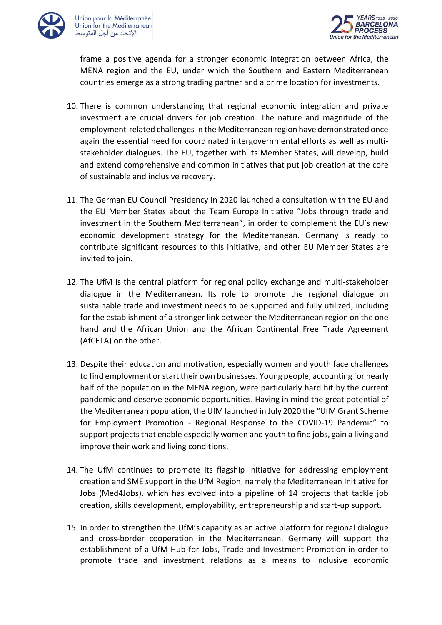



frame a positive agenda for a stronger economic integration between Africa, the MENA region and the EU, under which the Southern and Eastern Mediterranean countries emerge as a strong trading partner and a prime location for investments.

- 10. There is common understanding that regional economic integration and private investment are crucial drivers for job creation. The nature and magnitude of the employment-related challenges in the Mediterranean region have demonstrated once again the essential need for coordinated intergovernmental efforts as well as multistakeholder dialogues. The EU, together with its Member States, will develop, build and extend comprehensive and common initiatives that put job creation at the core of sustainable and inclusive recovery.
- 11. The German EU Council Presidency in 2020 launched a consultation with the EU and the EU Member States about the Team Europe Initiative "Jobs through trade and investment in the Southern Mediterranean", in order to complement the EU's new economic development strategy for the Mediterranean. Germany is ready to contribute significant resources to this initiative, and other EU Member States are invited to join.
- 12. The UfM is the central platform for regional policy exchange and multi-stakeholder dialogue in the Mediterranean. Its role to promote the regional dialogue on sustainable trade and investment needs to be supported and fully utilized, including for the establishment of a stronger link between the Mediterranean region on the one hand and the African Union and the African Continental Free Trade Agreement (AfCFTA) on the other.
- 13. Despite their education and motivation, especially women and youth face challenges to find employment or start their own businesses. Young people, accounting for nearly half of the population in the MENA region, were particularly hard hit by the current pandemic and deserve economic opportunities. Having in mind the great potential of the Mediterranean population, the UfM launched in July 2020 the "UfM Grant Scheme for Employment Promotion - Regional Response to the COVID-19 Pandemic" to support projects that enable especially women and youth to find jobs, gain a living and improve their work and living conditions.
- 14. The UfM continues to promote its flagship initiative for addressing employment creation and SME support in the UfM Region, namely the Mediterranean Initiative for Jobs (Med4Jobs), which has evolved into a pipeline of 14 projects that tackle job creation, skills development, employability, entrepreneurship and start-up support.
- 15. In order to strengthen the UfM's capacity as an active platform for regional dialogue and cross-border cooperation in the Mediterranean, Germany will support the establishment of a UfM Hub for Jobs, Trade and Investment Promotion in order to promote trade and investment relations as a means to inclusive economic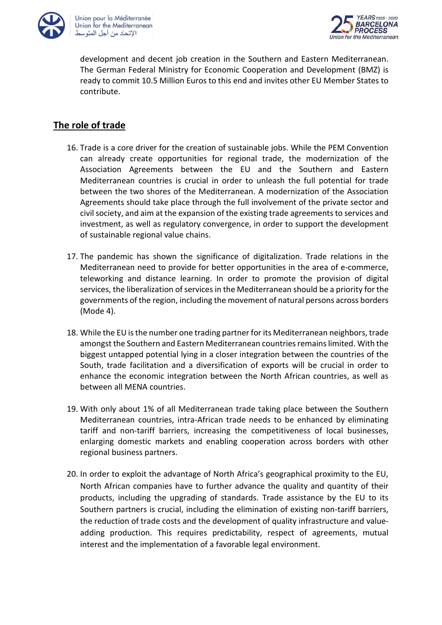



development and decent job creation in the Southern and Eastern Mediterranean. The German Federal Ministry for Economic Cooperation and Development (BMZ) is ready to commit 10.5 Million Euros to this end and invites other EU Member States to contribute.

## **The role of trade**

- 16. Trade is a core driver for the creation of sustainable jobs. While the PEM Convention can already create opportunities for regional trade, the modernization of the Association Agreements between the EU and the Southern and Eastern Mediterranean countries is crucial in order to unleash the full potential for trade between the two shores of the Mediterranean. A modernization of the Association Agreements should take place through the full involvement of the private sector and civil society, and aim at the expansion of the existing trade agreements to services and investment, as well as regulatory convergence, in order to support the development of sustainable regional value chains.
- 17. The pandemic has shown the significance of digitalization. Trade relations in the Mediterranean need to provide for better opportunities in the area of e-commerce, teleworking and distance learning. In order to promote the provision of digital services, the liberalization of services in the Mediterranean should be a priority for the governments of the region, including the movement of natural persons across borders (Mode 4).
- 18. While the EU isthe number one trading partner for its Mediterranean neighbors, trade amongst the Southern and Eastern Mediterranean countries remains limited. With the biggest untapped potential lying in a closer integration between the countries of the South, trade facilitation and a diversification of exports will be crucial in order to enhance the economic integration between the North African countries, as well as between all MENA countries.
- 19. With only about 1% of all Mediterranean trade taking place between the Southern Mediterranean countries, intra-African trade needs to be enhanced by eliminating tariff and non-tariff barriers, increasing the competitiveness of local businesses, enlarging domestic markets and enabling cooperation across borders with other regional business partners.
- 20. In order to exploit the advantage of North Africa's geographical proximity to the EU, North African companies have to further advance the quality and quantity of their products, including the upgrading of standards. Trade assistance by the EU to its Southern partners is crucial, including the elimination of existing non-tariff barriers, the reduction of trade costs and the development of quality infrastructure and valueadding production. This requires predictability, respect of agreements, mutual interest and the implementation of a favorable legal environment.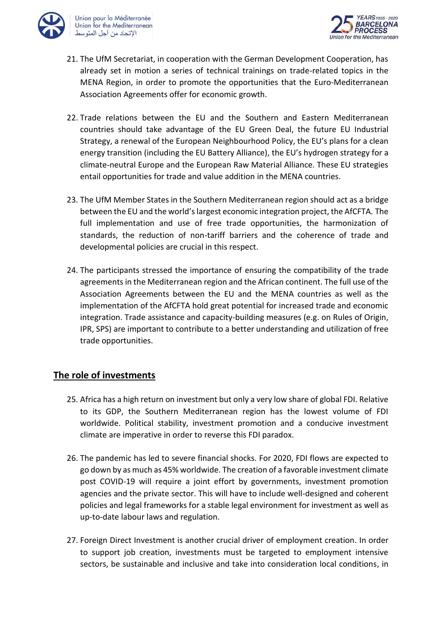



- 21. The UfM Secretariat, in cooperation with the German Development Cooperation, has already set in motion a series of technical trainings on trade-related topics in the MENA Region, in order to promote the opportunities that the Euro-Mediterranean Association Agreements offer for economic growth.
- 22. Trade relations between the EU and the Southern and Eastern Mediterranean countries should take advantage of the EU Green Deal, the future EU Industrial Strategy, a renewal of the European Neighbourhood Policy, the EU's plans for a clean energy transition (including the EU Battery Alliance), the EU's hydrogen strategy for a climate-neutral Europe and the European Raw Material Alliance. These EU strategies entail opportunities for trade and value addition in the MENA countries.
- 23. The UfM Member States in the Southern Mediterranean region should act as a bridge between the EU and the world's largest economic integration project, the AfCFTA. The full implementation and use of free trade opportunities, the harmonization of standards, the reduction of non-tariff barriers and the coherence of trade and developmental policies are crucial in this respect.
- 24. The participants stressed the importance of ensuring the compatibility of the trade agreements in the Mediterranean region and the African continent. The full use of the Association Agreements between the EU and the MENA countries as well as the implementation of the AfCFTA hold great potential for increased trade and economic integration. Trade assistance and capacity-building measures (e.g. on Rules of Origin, IPR, SPS) are important to contribute to a better understanding and utilization of free trade opportunities.

### **The role of investments**

- 25. Africa has a high return on investment but only a very low share of global FDI. Relative to its GDP, the Southern Mediterranean region has the lowest volume of FDI worldwide. Political stability, investment promotion and a conducive investment climate are imperative in order to reverse this FDI paradox.
- 26. The pandemic has led to severe financial shocks. For 2020, FDI flows are expected to go down by as much as 45% worldwide. The creation of a favorable investment climate post COVID-19 will require a joint effort by governments, investment promotion agencies and the private sector. This will have to include well-designed and coherent policies and legal frameworks for a stable legal environment for investment as well as up-to-date labour laws and regulation.
- 27. Foreign Direct Investment is another crucial driver of employment creation. In order to support job creation, investments must be targeted to employment intensive sectors, be sustainable and inclusive and take into consideration local conditions, in